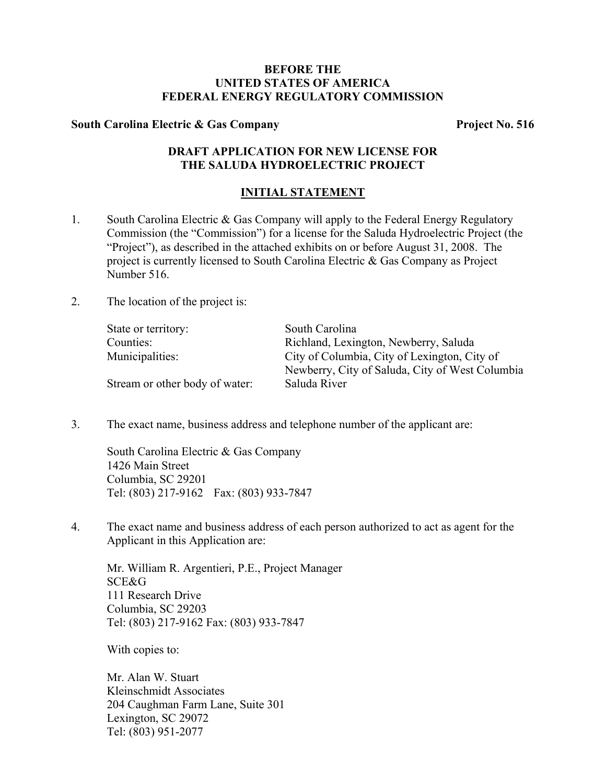## **BEFORE THE UNITED STATES OF AMERICA FEDERAL ENERGY REGULATORY COMMISSION**

### South Carolina Electric & Gas Company **Project No. 516**

# **DRAFT APPLICATION FOR NEW LICENSE FOR THE SALUDA HYDROELECTRIC PROJECT**

### **INITIAL STATEMENT**

- 1. South Carolina Electric & Gas Company will apply to the Federal Energy Regulatory Commission (the "Commission") for a license for the Saluda Hydroelectric Project (the "Project"), as described in the attached exhibits on or before August 31, 2008. The project is currently licensed to South Carolina Electric & Gas Company as Project Number 516.
- 2. The location of the project is:

| State or territory:            | South Carolina                                  |
|--------------------------------|-------------------------------------------------|
| Counties:                      | Richland, Lexington, Newberry, Saluda           |
| Municipalities:                | City of Columbia, City of Lexington, City of    |
|                                | Newberry, City of Saluda, City of West Columbia |
| Stream or other body of water: | Saluda River                                    |

3. The exact name, business address and telephone number of the applicant are:

South Carolina Electric & Gas Company 1426 Main Street Columbia, SC 29201 Tel: (803) 217-9162 Fax: (803) 933-7847

4. The exact name and business address of each person authorized to act as agent for the Applicant in this Application are:

Mr. William R. Argentieri, P.E., Project Manager SCE&G 111 Research Drive Columbia, SC 29203 Tel: (803) 217-9162 Fax: (803) 933-7847

With copies to:

Mr. Alan W. Stuart Kleinschmidt Associates 204 Caughman Farm Lane, Suite 301 Lexington, SC 29072 Tel: (803) 951-2077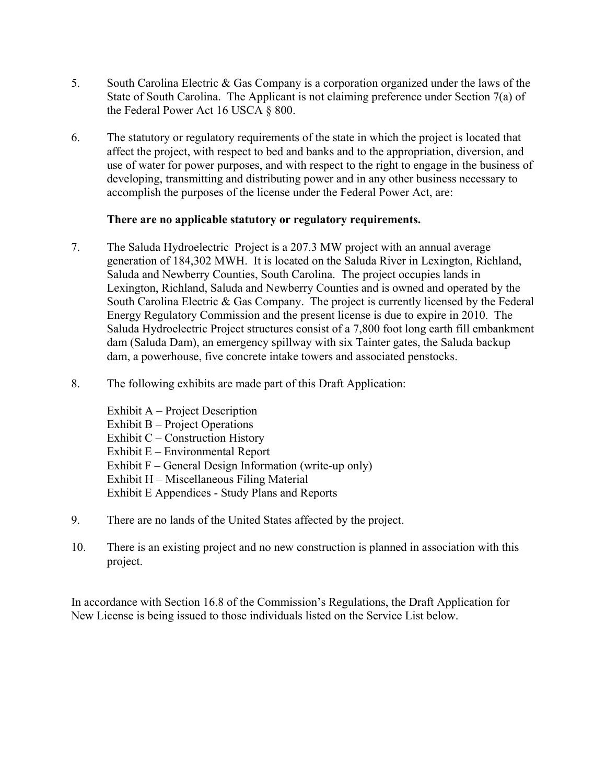- 5. South Carolina Electric & Gas Company is a corporation organized under the laws of the State of South Carolina. The Applicant is not claiming preference under Section 7(a) of the Federal Power Act 16 USCA § 800.
- 6. The statutory or regulatory requirements of the state in which the project is located that affect the project, with respect to bed and banks and to the appropriation, diversion, and use of water for power purposes, and with respect to the right to engage in the business of developing, transmitting and distributing power and in any other business necessary to accomplish the purposes of the license under the Federal Power Act, are:

## **There are no applicable statutory or regulatory requirements.**

- 7. The Saluda Hydroelectric Project is a 207.3 MW project with an annual average generation of 184,302 MWH. It is located on the Saluda River in Lexington, Richland, Saluda and Newberry Counties, South Carolina. The project occupies lands in Lexington, Richland, Saluda and Newberry Counties and is owned and operated by the South Carolina Electric & Gas Company. The project is currently licensed by the Federal Energy Regulatory Commission and the present license is due to expire in 2010. The Saluda Hydroelectric Project structures consist of a 7,800 foot long earth fill embankment dam (Saluda Dam), an emergency spillway with six Tainter gates, the Saluda backup dam, a powerhouse, five concrete intake towers and associated penstocks.
- 8. The following exhibits are made part of this Draft Application:

Exhibit A – Project Description Exhibit B – Project Operations Exhibit  $C$  – Construction History Exhibit E – Environmental Report Exhibit F – General Design Information (write-up only) Exhibit H – Miscellaneous Filing Material Exhibit E Appendices - Study Plans and Reports

- 9. There are no lands of the United States affected by the project.
- 10. There is an existing project and no new construction is planned in association with this project.

In accordance with Section 16.8 of the Commission's Regulations, the Draft Application for New License is being issued to those individuals listed on the Service List below.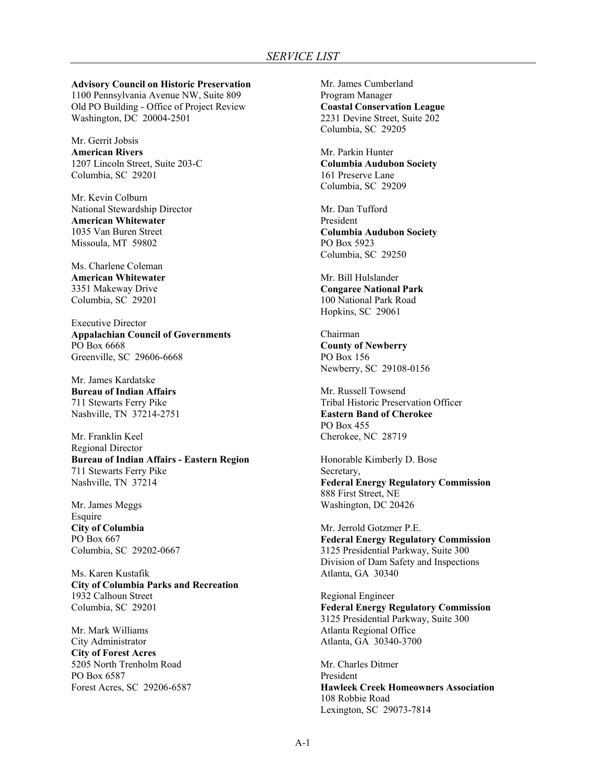**Advisory Council on Historic Preservation**  1100 Pennsylvania Avenue NW, Suite 809 Old PO Building - Office of Project Review Washington, DC 20004-2501

Mr. Gerrit Jobsis **American Rivers**  1207 Lincoln Street, Suite 203-C Columbia, SC 29201

Mr. Kevin Colburn National Stewardship Director **American Whitewater**  1035 Van Buren Street Missoula, MT 59802

Ms. Charlene Coleman **American Whitewater**  3351 Makeway Drive Columbia, SC 29201

Executive Director **Appalachian Council of Governments**  PO Box 6668 Greenville, SC 29606-6668

Mr. James Kardatske **Bureau of Indian Affairs**  711 Stewarts Ferry Pike Nashville, TN 37214-2751

Mr. Franklin Keel Regional Director **Bureau of Indian Affairs - Eastern Region**  711 Stewarts Ferry Pike Nashville, TN 37214

Mr. James Meggs Esquire **City of Columbia**  PO Box 667 Columbia, SC 29202-0667

Ms. Karen Kustafik **City of Columbia Parks and Recreation**  1932 Calhoun Street Columbia, SC 29201

Mr. Mark Williams City Administrator **City of Forest Acres**  5205 North Trenholm Road PO Box 6587 Forest Acres, SC 29206-6587

Mr. James Cumberland Program Manager **Coastal Conservation League**  2231 Devine Street, Suite 202 Columbia, SC 29205

Mr. Parkin Hunter **Columbia Audubon Society**  161 Preserve Lane Columbia, SC 29209

Mr. Dan Tufford President **Columbia Audubon Society**  PO Box 5923 Columbia, SC 29250

Mr. Bill Hulslander **Congaree National Park**  100 National Park Road Hopkins, SC 29061

Chairman **County of Newberry**  PO Box 156 Newberry, SC 29108-0156

Mr. Russell Towsend Tribal Historic Preservation Officer **Eastern Band of Cherokee**  PO Box 455 Cherokee, NC 28719

Honorable Kimberly D. Bose Secretary, **Federal Energy Regulatory Commission** 888 First Street, NE Washington, DC 20426

Mr. Jerrold Gotzmer P.E. **Federal Energy Regulatory Commission**  3125 Presidential Parkway, Suite 300 Division of Dam Safety and Inspections Atlanta, GA 30340

Regional Engineer **Federal Energy Regulatory Commission**  3125 Presidential Parkway, Suite 300 Atlanta Regional Office Atlanta, GA 30340-3700

Mr. Charles Ditmer President **Hawleek Creek Homeowners Association**  108 Robbie Road Lexington, SC 29073-7814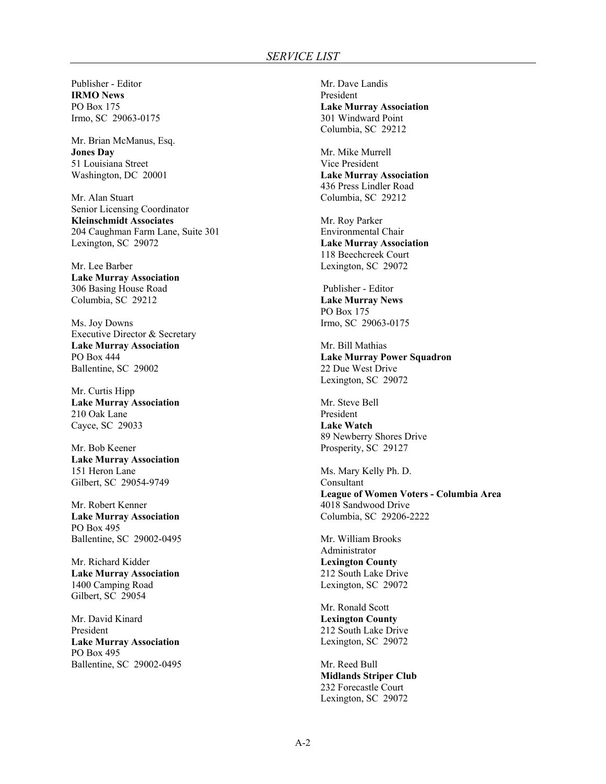Publisher - Editor **IRMO News**  PO Box 175 Irmo, SC 29063-0175

Mr. Brian McManus, Esq. **Jones Day**  51 Louisiana Street Washington, DC 20001

Mr. Alan Stuart Senior Licensing Coordinator **Kleinschmidt Associates**  204 Caughman Farm Lane, Suite 301 Lexington, SC 29072

Mr. Lee Barber **Lake Murray Association**  306 Basing House Road Columbia, SC 29212

Ms. Joy Downs Executive Director & Secretary **Lake Murray Association**  PO Box 444 Ballentine, SC 29002

Mr. Curtis Hipp **Lake Murray Association**  210 Oak Lane Cayce, SC 29033

Mr. Bob Keener **Lake Murray Association**  151 Heron Lane Gilbert, SC 29054-9749

Mr. Robert Kenner **Lake Murray Association**  PO Box 495 Ballentine, SC 29002-0495

Mr. Richard Kidder **Lake Murray Association**  1400 Camping Road Gilbert, SC 29054

Mr. David Kinard President **Lake Murray Association**  PO Box 495 Ballentine, SC 29002-0495

Mr. Dave Landis President **Lake Murray Association**  301 Windward Point Columbia, SC 29212

Mr. Mike Murrell Vice President **Lake Murray Association**  436 Press Lindler Road Columbia, SC 29212

Mr. Roy Parker Environmental Chair **Lake Murray Association**  118 Beechcreek Court Lexington, SC 29072

 Publisher - Editor **Lake Murray News**  PO Box 175 Irmo, SC 29063-0175

Mr. Bill Mathias **Lake Murray Power Squadron**  22 Due West Drive Lexington, SC 29072

Mr. Steve Bell President **Lake Watch**  89 Newberry Shores Drive Prosperity, SC 29127

Ms. Mary Kelly Ph. D. Consultant **League of Women Voters - Columbia Area**  4018 Sandwood Drive Columbia, SC 29206-2222

Mr. William Brooks Administrator **Lexington County**  212 South Lake Drive Lexington, SC 29072

Mr. Ronald Scott **Lexington County**  212 South Lake Drive Lexington, SC 29072

Mr. Reed Bull **Midlands Striper Club**  232 Forecastle Court Lexington, SC 29072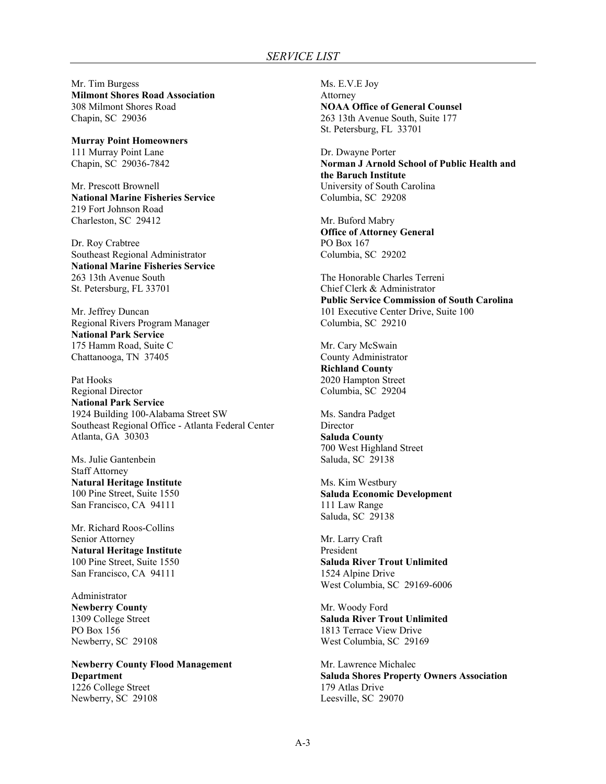Mr. Tim Burgess **Milmont Shores Road Association**  308 Milmont Shores Road Chapin, SC 29036

**Murray Point Homeowners**  111 Murray Point Lane Chapin, SC 29036-7842

Mr. Prescott Brownell **National Marine Fisheries Service**  219 Fort Johnson Road Charleston, SC 29412

Dr. Roy Crabtree Southeast Regional Administrator **National Marine Fisheries Service**  263 13th Avenue South St. Petersburg, FL 33701

Mr. Jeffrey Duncan Regional Rivers Program Manager **National Park Service**  175 Hamm Road, Suite C Chattanooga, TN 37405

Pat Hooks Regional Director **National Park Service**  1924 Building 100-Alabama Street SW Southeast Regional Office - Atlanta Federal Center Atlanta, GA 30303

Ms. Julie Gantenbein Staff Attorney **Natural Heritage Institute**  100 Pine Street, Suite 1550 San Francisco, CA 94111

Mr. Richard Roos-Collins Senior Attorney **Natural Heritage Institute**  100 Pine Street, Suite 1550 San Francisco, CA 94111

Administrator **Newberry County**  1309 College Street PO Box 156 Newberry, SC 29108

**Newberry County Flood Management Department**  1226 College Street Newberry, SC 29108

Ms. E.V.E Joy Attorney **NOAA Office of General Counsel**  263 13th Avenue South, Suite 177 St. Petersburg, FL 33701

Dr. Dwayne Porter **Norman J Arnold School of Public Health and the Baruch Institute**  University of South Carolina Columbia, SC 29208

Mr. Buford Mabry **Office of Attorney General**  PO Box 167 Columbia, SC 29202

The Honorable Charles Terreni Chief Clerk & Administrator **Public Service Commission of South Carolina**  101 Executive Center Drive, Suite 100 Columbia, SC 29210

Mr. Cary McSwain County Administrator **Richland County**  2020 Hampton Street Columbia, SC 29204

Ms. Sandra Padget Director **Saluda County**  700 West Highland Street Saluda, SC 29138

Ms. Kim Westbury **Saluda Economic Development**  111 Law Range Saluda, SC 29138

Mr. Larry Craft President **Saluda River Trout Unlimited**  1524 Alpine Drive West Columbia, SC 29169-6006

Mr. Woody Ford **Saluda River Trout Unlimited**  1813 Terrace View Drive West Columbia, SC 29169

Mr. Lawrence Michalec **Saluda Shores Property Owners Association**  179 Atlas Drive Leesville, SC 29070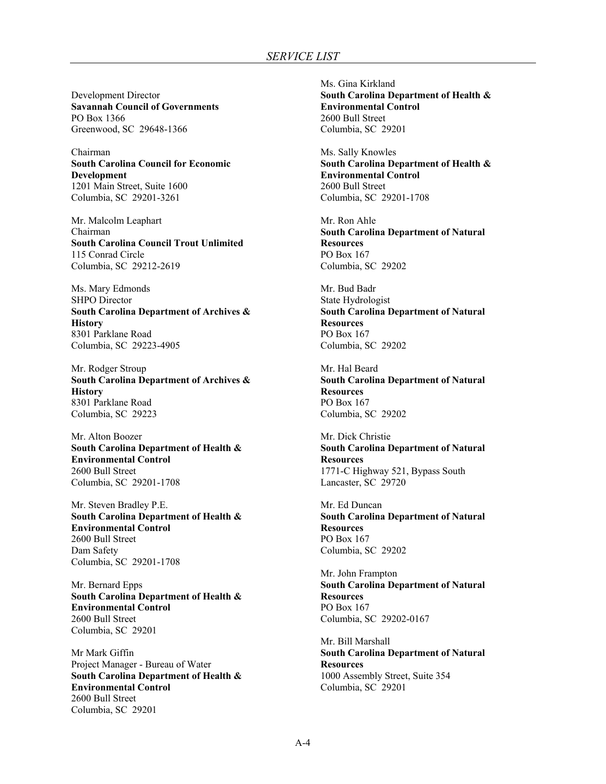Development Director **Savannah Council of Governments**  PO Box 1366 Greenwood, SC 29648-1366

Chairman **South Carolina Council for Economic Development**  1201 Main Street, Suite 1600 Columbia, SC 29201-3261

Mr. Malcolm Leaphart Chairman **South Carolina Council Trout Unlimited**  115 Conrad Circle Columbia, SC 29212-2619

Ms. Mary Edmonds SHPO Director **South Carolina Department of Archives & History**  8301 Parklane Road Columbia, SC 29223-4905

Mr. Rodger Stroup **South Carolina Department of Archives & History**  8301 Parklane Road Columbia, SC 29223

Mr. Alton Boozer **South Carolina Department of Health & Environmental Control**  2600 Bull Street Columbia, SC 29201-1708

Mr. Steven Bradley P.E. **South Carolina Department of Health & Environmental Control**  2600 Bull Street Dam Safety Columbia, SC 29201-1708

Mr. Bernard Epps **South Carolina Department of Health & Environmental Control**  2600 Bull Street Columbia, SC 29201

Mr Mark Giffin Project Manager - Bureau of Water **South Carolina Department of Health & Environmental Control**  2600 Bull Street Columbia, SC 29201

Ms. Gina Kirkland **South Carolina Department of Health & Environmental Control**  2600 Bull Street Columbia, SC 29201

Ms. Sally Knowles **South Carolina Department of Health & Environmental Control**  2600 Bull Street Columbia, SC 29201-1708

Mr. Ron Ahle **South Carolina Department of Natural Resources**  PO Box 167 Columbia, SC 29202

Mr. Bud Badr State Hydrologist **South Carolina Department of Natural Resources**  PO Box 167 Columbia, SC 29202

Mr. Hal Beard **South Carolina Department of Natural Resources**  PO Box 167 Columbia, SC 29202

Mr. Dick Christie **South Carolina Department of Natural Resources**  1771-C Highway 521, Bypass South Lancaster, SC 29720

Mr. Ed Duncan **South Carolina Department of Natural Resources**  PO Box 167 Columbia, SC 29202

Mr. John Frampton **South Carolina Department of Natural Resources**  PO Box 167 Columbia, SC 29202-0167

Mr. Bill Marshall **South Carolina Department of Natural Resources**  1000 Assembly Street, Suite 354 Columbia, SC 29201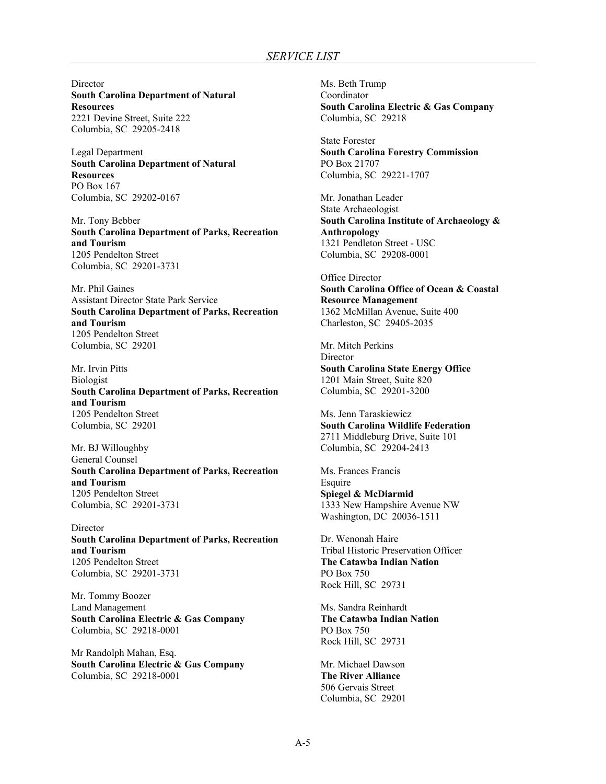**Director South Carolina Department of Natural Resources**  2221 Devine Street, Suite 222 Columbia, SC 29205-2418

Legal Department **South Carolina Department of Natural Resources**  PO Box 167 Columbia, SC 29202-0167

Mr. Tony Bebber **South Carolina Department of Parks, Recreation and Tourism**  1205 Pendelton Street Columbia, SC 29201-3731

Mr. Phil Gaines Assistant Director State Park Service **South Carolina Department of Parks, Recreation and Tourism**  1205 Pendelton Street Columbia, SC 29201

Mr. Irvin Pitts Biologist **South Carolina Department of Parks, Recreation and Tourism**  1205 Pendelton Street Columbia, SC 29201

Mr. BJ Willoughby General Counsel **South Carolina Department of Parks, Recreation and Tourism**  1205 Pendelton Street Columbia, SC 29201-3731

Director **South Carolina Department of Parks, Recreation and Tourism**  1205 Pendelton Street Columbia, SC 29201-3731

Mr. Tommy Boozer Land Management **South Carolina Electric & Gas Company**  Columbia, SC 29218-0001

Mr Randolph Mahan, Esq. **South Carolina Electric & Gas Company**  Columbia, SC 29218-0001

Ms. Beth Trump Coordinator **South Carolina Electric & Gas Company**  Columbia, SC 29218

State Forester **South Carolina Forestry Commission**  PO Box 21707 Columbia, SC 29221-1707

Mr. Jonathan Leader State Archaeologist **South Carolina Institute of Archaeology & Anthropology**  1321 Pendleton Street - USC Columbia, SC 29208-0001

Office Director **South Carolina Office of Ocean & Coastal Resource Management**  1362 McMillan Avenue, Suite 400 Charleston, SC 29405-2035

Mr. Mitch Perkins **Director South Carolina State Energy Office**  1201 Main Street, Suite 820 Columbia, SC 29201-3200

Ms. Jenn Taraskiewicz **South Carolina Wildlife Federation**  2711 Middleburg Drive, Suite 101 Columbia, SC 29204-2413

Ms. Frances Francis Esquire **Spiegel & McDiarmid**  1333 New Hampshire Avenue NW Washington, DC 20036-1511

Dr. Wenonah Haire Tribal Historic Preservation Officer **The Catawba Indian Nation**  PO Box 750 Rock Hill, SC 29731

Ms. Sandra Reinhardt **The Catawba Indian Nation**  PO Box 750 Rock Hill, SC 29731

Mr. Michael Dawson **The River Alliance**  506 Gervais Street Columbia, SC 29201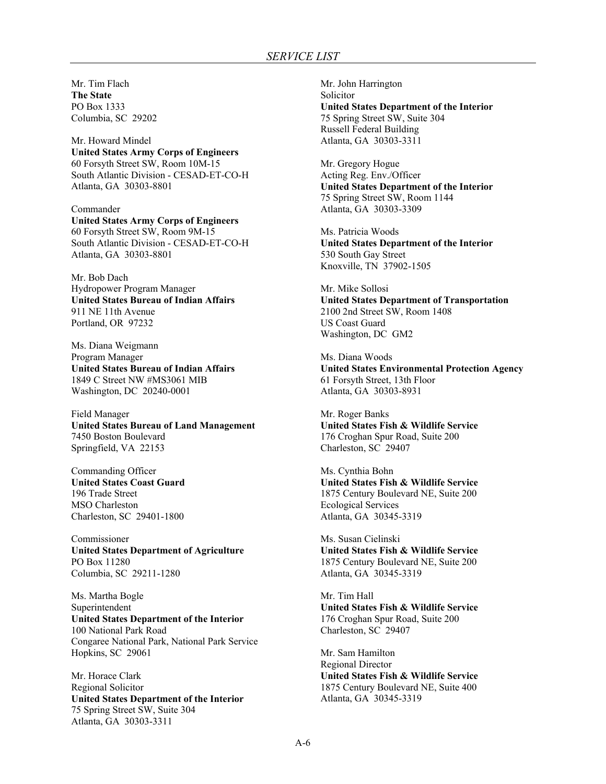Mr. Tim Flach **The State**  PO Box 1333 Columbia, SC 29202

Mr. Howard Mindel **United States Army Corps of Engineers**  60 Forsyth Street SW, Room 10M-15 South Atlantic Division - CESAD-ET-CO-H Atlanta, GA 30303-8801

Commander **United States Army Corps of Engineers**  60 Forsyth Street SW, Room 9M-15 South Atlantic Division - CESAD-ET-CO-H Atlanta, GA 30303-8801

Mr. Bob Dach Hydropower Program Manager **United States Bureau of Indian Affairs**  911 NE 11th Avenue Portland, OR 97232

Ms. Diana Weigmann Program Manager **United States Bureau of Indian Affairs**  1849 C Street NW #MS3061 MIB Washington, DC 20240-0001

Field Manager **United States Bureau of Land Management**  7450 Boston Boulevard Springfield, VA 22153

Commanding Officer **United States Coast Guard**  196 Trade Street MSO Charleston Charleston, SC 29401-1800

Commissioner **United States Department of Agriculture**  PO Box 11280 Columbia, SC 29211-1280

Ms. Martha Bogle Superintendent **United States Department of the Interior**  100 National Park Road Congaree National Park, National Park Service Hopkins, SC 29061

Mr. Horace Clark Regional Solicitor **United States Department of the Interior**  75 Spring Street SW, Suite 304 Atlanta, GA 30303-3311

Mr. John Harrington Solicitor **United States Department of the Interior**  75 Spring Street SW, Suite 304 Russell Federal Building Atlanta, GA 30303-3311

Mr. Gregory Hogue Acting Reg. Env./Officer **United States Department of the Interior**  75 Spring Street SW, Room 1144 Atlanta, GA 30303-3309

Ms. Patricia Woods **United States Department of the Interior**  530 South Gay Street Knoxville, TN 37902-1505

Mr. Mike Sollosi **United States Department of Transportation**  2100 2nd Street SW, Room 1408 US Coast Guard Washington, DC GM2

Ms. Diana Woods **United States Environmental Protection Agency**  61 Forsyth Street, 13th Floor Atlanta, GA 30303-8931

Mr. Roger Banks **United States Fish & Wildlife Service**  176 Croghan Spur Road, Suite 200 Charleston, SC 29407

Ms. Cynthia Bohn **United States Fish & Wildlife Service**  1875 Century Boulevard NE, Suite 200 Ecological Services Atlanta, GA 30345-3319

Ms. Susan Cielinski **United States Fish & Wildlife Service**  1875 Century Boulevard NE, Suite 200 Atlanta, GA 30345-3319

Mr. Tim Hall **United States Fish & Wildlife Service**  176 Croghan Spur Road, Suite 200 Charleston, SC 29407

Mr. Sam Hamilton Regional Director **United States Fish & Wildlife Service**  1875 Century Boulevard NE, Suite 400 Atlanta, GA 30345-3319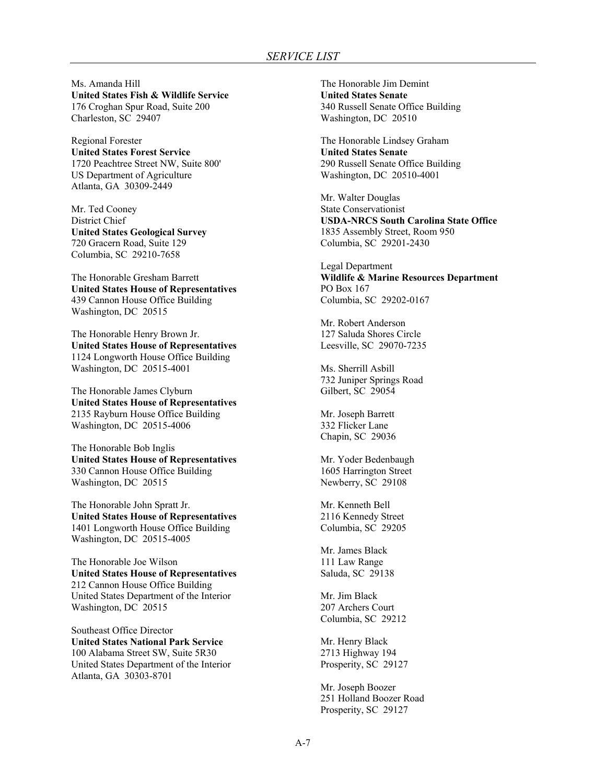Ms. Amanda Hill **United States Fish & Wildlife Service**  176 Croghan Spur Road, Suite 200 Charleston, SC 29407

Regional Forester **United States Forest Service**  1720 Peachtree Street NW, Suite 800' US Department of Agriculture Atlanta, GA 30309-2449

Mr. Ted Cooney District Chief **United States Geological Survey**  720 Gracern Road, Suite 129 Columbia, SC 29210-7658

The Honorable Gresham Barrett **United States House of Representatives**  439 Cannon House Office Building Washington, DC 20515

The Honorable Henry Brown Jr. **United States House of Representatives**  1124 Longworth House Office Building Washington, DC 20515-4001

The Honorable James Clyburn **United States House of Representatives**  2135 Rayburn House Office Building Washington, DC 20515-4006

The Honorable Bob Inglis **United States House of Representatives**  330 Cannon House Office Building Washington, DC 20515

The Honorable John Spratt Jr. **United States House of Representatives**  1401 Longworth House Office Building Washington, DC 20515-4005

The Honorable Joe Wilson **United States House of Representatives**  212 Cannon House Office Building United States Department of the Interior Washington, DC 20515

Southeast Office Director **United States National Park Service**  100 Alabama Street SW, Suite 5R30 United States Department of the Interior Atlanta, GA 30303-8701

The Honorable Jim Demint **United States Senate**  340 Russell Senate Office Building Washington, DC 20510

The Honorable Lindsey Graham **United States Senate**  290 Russell Senate Office Building Washington, DC 20510-4001

Mr. Walter Douglas State Conservationist **USDA-NRCS South Carolina State Office**  1835 Assembly Street, Room 950 Columbia, SC 29201-2430

Legal Department **Wildlife & Marine Resources Department**  PO Box 167 Columbia, SC 29202-0167

Mr. Robert Anderson 127 Saluda Shores Circle Leesville, SC 29070-7235

Ms. Sherrill Asbill 732 Juniper Springs Road Gilbert, SC 29054

Mr. Joseph Barrett 332 Flicker Lane Chapin, SC 29036

Mr. Yoder Bedenbaugh 1605 Harrington Street Newberry, SC 29108

Mr. Kenneth Bell 2116 Kennedy Street Columbia, SC 29205

Mr. James Black 111 Law Range Saluda, SC 29138

Mr. Jim Black 207 Archers Court Columbia, SC 29212

Mr. Henry Black 2713 Highway 194 Prosperity, SC 29127

Mr. Joseph Boozer 251 Holland Boozer Road Prosperity, SC 29127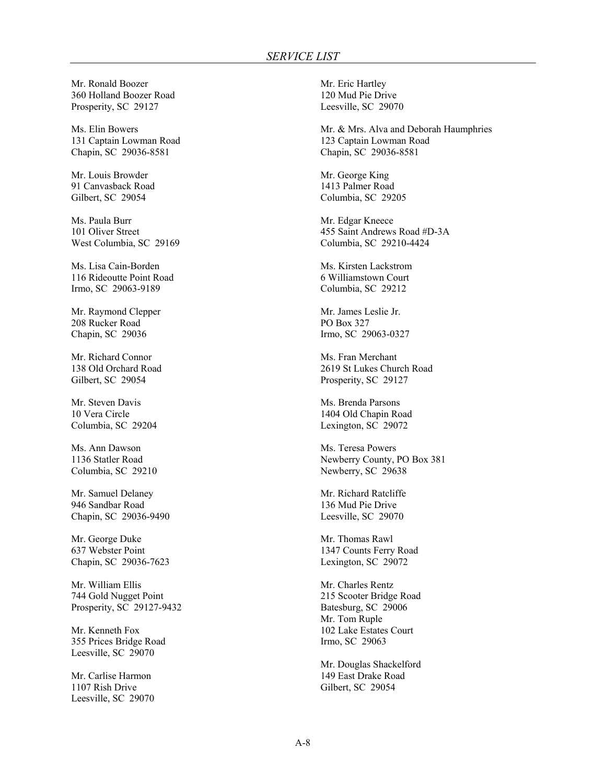Mr. Ronald Boozer 360 Holland Boozer Road Prosperity, SC 29127

Ms. Elin Bowers 131 Captain Lowman Road Chapin, SC 29036-8581

Mr. Louis Browder 91 Canvasback Road Gilbert, SC 29054

Ms. Paula Burr 101 Oliver Street West Columbia, SC 29169

Ms. Lisa Cain-Borden 116 Rideoutte Point Road Irmo, SC 29063-9189

Mr. Raymond Clepper 208 Rucker Road Chapin, SC 29036

Mr. Richard Connor 138 Old Orchard Road Gilbert, SC 29054

Mr. Steven Davis 10 Vera Circle Columbia, SC 29204

Ms. Ann Dawson 1136 Statler Road Columbia, SC 29210

Mr. Samuel Delaney 946 Sandbar Road Chapin, SC 29036-9490

Mr. George Duke 637 Webster Point Chapin, SC 29036-7623

Mr. William Ellis 744 Gold Nugget Point Prosperity, SC 29127-9432

Mr. Kenneth Fox 355 Prices Bridge Road Leesville, SC 29070

Mr. Carlise Harmon 1107 Rish Drive Leesville, SC 29070

Mr. Eric Hartley 120 Mud Pie Drive Leesville, SC 29070

Mr. & Mrs. Alva and Deborah Haumphries 123 Captain Lowman Road Chapin, SC 29036-8581

Mr. George King 1413 Palmer Road Columbia, SC 29205

Mr. Edgar Kneece 455 Saint Andrews Road #D-3A Columbia, SC 29210-4424

Ms. Kirsten Lackstrom 6 Williamstown Court Columbia, SC 29212

Mr. James Leslie Jr. PO Box 327 Irmo, SC 29063-0327

Ms. Fran Merchant 2619 St Lukes Church Road Prosperity, SC 29127

Ms. Brenda Parsons 1404 Old Chapin Road Lexington, SC 29072

Ms. Teresa Powers Newberry County, PO Box 381 Newberry, SC 29638

Mr. Richard Ratcliffe 136 Mud Pie Drive Leesville, SC 29070

Mr. Thomas Rawl 1347 Counts Ferry Road Lexington, SC 29072

Mr. Charles Rentz 215 Scooter Bridge Road Batesburg, SC 29006 Mr. Tom Ruple 102 Lake Estates Court Irmo, SC 29063

Mr. Douglas Shackelford 149 East Drake Road Gilbert, SC 29054